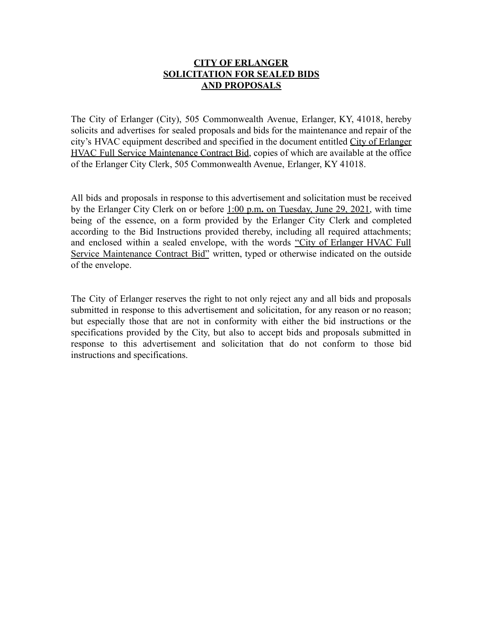## **CITY OF ERLANGER SOLICITATION FOR SEALED BIDS AND PROPOSALS**

The City of Erlanger (City), 505 Commonwealth Avenue, Erlanger, KY, 41018, hereby solicits and advertises for sealed proposals and bids for the maintenance and repair of the city's HVAC equipment described and specified in the document entitled City of Erlanger HVAC Full Service Maintenance Contract Bid, copies of which are available at the office of the Erlanger City Clerk, 505 Commonwealth Avenue, Erlanger, KY 41018.

All bids and proposals in response to this advertisement and solicitation must be received by the Erlanger City Clerk on or before 1:00 p.m**.** on Tuesday, June 29, 2021, with time being of the essence, on a form provided by the Erlanger City Clerk and completed according to the Bid Instructions provided thereby, including all required attachments; and enclosed within a sealed envelope, with the words "City of Erlanger HVAC Full Service Maintenance Contract Bid" written, typed or otherwise indicated on the outside of the envelope.

The City of Erlanger reserves the right to not only reject any and all bids and proposals submitted in response to this advertisement and solicitation, for any reason or no reason; but especially those that are not in conformity with either the bid instructions or the specifications provided by the City, but also to accept bids and proposals submitted in response to this advertisement and solicitation that do not conform to those bid instructions and specifications.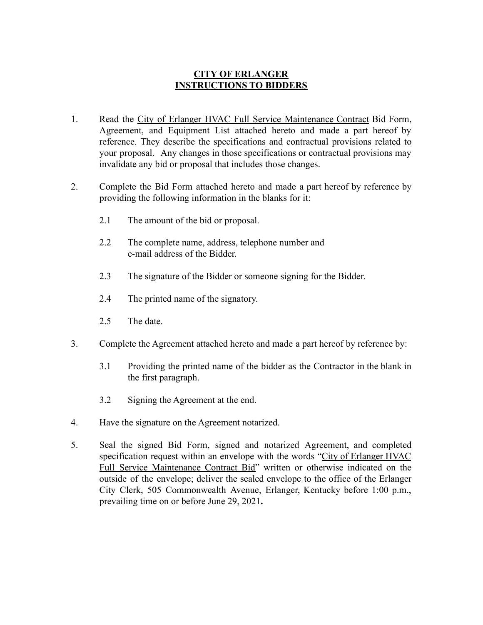## **CITY OF ERLANGER INSTRUCTIONS TO BIDDERS**

- 1. Read the City of Erlanger HVAC Full Service Maintenance Contract Bid Form, Agreement, and Equipment List attached hereto and made a part hereof by reference. They describe the specifications and contractual provisions related to your proposal. Any changes in those specifications or contractual provisions may invalidate any bid or proposal that includes those changes.
- 2. Complete the Bid Form attached hereto and made a part hereof by reference by providing the following information in the blanks for it:
	- 2.1 The amount of the bid or proposal.
	- 2.2 The complete name, address, telephone number and e-mail address of the Bidder.
	- 2.3 The signature of the Bidder or someone signing for the Bidder.
	- 2.4 The printed name of the signatory.
	- 2.5 The date.
- 3. Complete the Agreement attached hereto and made a part hereof by reference by:
	- 3.1 Providing the printed name of the bidder as the Contractor in the blank in the first paragraph.
	- 3.2 Signing the Agreement at the end.
- 4. Have the signature on the Agreement notarized.
- 5. Seal the signed Bid Form, signed and notarized Agreement, and completed specification request within an envelope with the words "City of Erlanger HVAC Full Service Maintenance Contract Bid" written or otherwise indicated on the outside of the envelope; deliver the sealed envelope to the office of the Erlanger City Clerk, 505 Commonwealth Avenue, Erlanger, Kentucky before 1:00 p.m., prevailing time on or before June 29, 2021**.**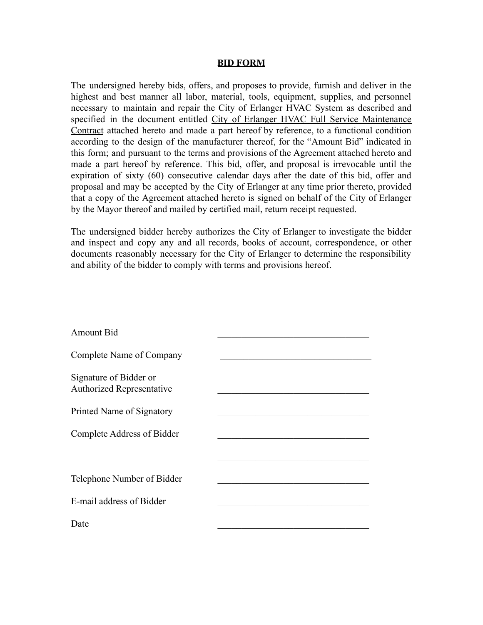#### **BID FORM**

The undersigned hereby bids, offers, and proposes to provide, furnish and deliver in the highest and best manner all labor, material, tools, equipment, supplies, and personnel necessary to maintain and repair the City of Erlanger HVAC System as described and specified in the document entitled City of Erlanger HVAC Full Service Maintenance Contract attached hereto and made a part hereof by reference, to a functional condition according to the design of the manufacturer thereof, for the "Amount Bid" indicated in this form; and pursuant to the terms and provisions of the Agreement attached hereto and made a part hereof by reference. This bid, offer, and proposal is irrevocable until the expiration of sixty (60) consecutive calendar days after the date of this bid, offer and proposal and may be accepted by the City of Erlanger at any time prior thereto, provided that a copy of the Agreement attached hereto is signed on behalf of the City of Erlanger by the Mayor thereof and mailed by certified mail, return receipt requested.

The undersigned bidder hereby authorizes the City of Erlanger to investigate the bidder and inspect and copy any and all records, books of account, correspondence, or other documents reasonably necessary for the City of Erlanger to determine the responsibility and ability of the bidder to comply with terms and provisions hereof.

| <b>Amount Bid</b>                                          |  |
|------------------------------------------------------------|--|
| Complete Name of Company                                   |  |
| Signature of Bidder or<br><b>Authorized Representative</b> |  |
| Printed Name of Signatory                                  |  |
| Complete Address of Bidder                                 |  |
|                                                            |  |
| Telephone Number of Bidder                                 |  |
| E-mail address of Bidder                                   |  |
| Date                                                       |  |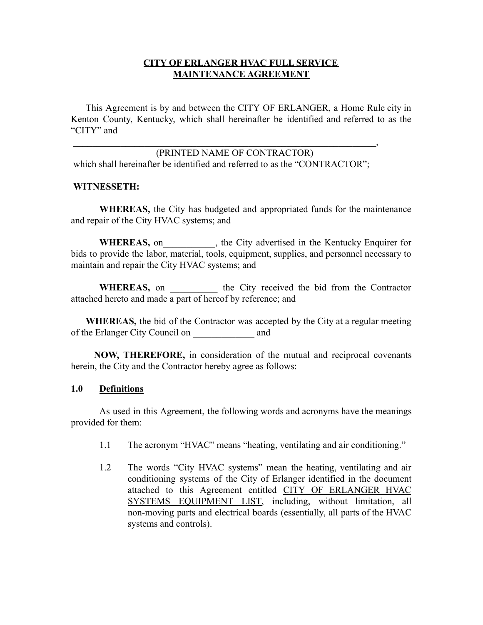## **CITY OF ERLANGER HVAC FULL SERVICE MAINTENANCE AGREEMENT**

This Agreement is by and between the CITY OF ERLANGER, a Home Rule city in Kenton County, Kentucky, which shall hereinafter be identified and referred to as the "CITY" and

(PRINTED NAME OF CONTRACTOR) which shall hereinafter be identified and referred to as the "CONTRACTOR";

 $\overline{\phantom{a}}$ 

#### **WITNESSETH:**

**WHEREAS,** the City has budgeted and appropriated funds for the maintenance and repair of the City HVAC systems; and

WHEREAS, on the City advertised in the Kentucky Enquirer for bids to provide the labor, material, tools, equipment, supplies, and personnel necessary to maintain and repair the City HVAC systems; and

WHEREAS, on the City received the bid from the Contractor attached hereto and made a part of hereof by reference; and

**WHEREAS,** the bid of the Contractor was accepted by the City at a regular meeting of the Erlanger City Council on \_\_\_\_\_\_\_\_\_\_\_\_\_ and

**NOW, THEREFORE,** in consideration of the mutual and reciprocal covenants herein, the City and the Contractor hereby agree as follows:

#### **1.0 Definitions**

As used in this Agreement, the following words and acronyms have the meanings provided for them:

- 1.1 The acronym "HVAC" means "heating, ventilating and air conditioning."
- 1.2 The words "City HVAC systems" mean the heating, ventilating and air conditioning systems of the City of Erlanger identified in the document attached to this Agreement entitled CITY OF ERLANGER HVAC SYSTEMS EQUIPMENT LIST, including, without limitation, all non-moving parts and electrical boards (essentially, all parts of the HVAC systems and controls).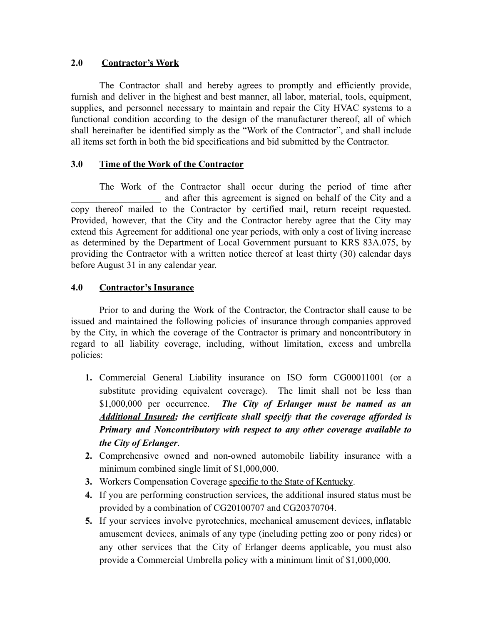# **2.0 Contractor's Work**

The Contractor shall and hereby agrees to promptly and efficiently provide, furnish and deliver in the highest and best manner, all labor, material, tools, equipment, supplies, and personnel necessary to maintain and repair the City HVAC systems to a functional condition according to the design of the manufacturer thereof, all of which shall hereinafter be identified simply as the "Work of the Contractor", and shall include all items set forth in both the bid specifications and bid submitted by the Contractor.

# **3.0 Time of the Work of the Contractor**

The Work of the Contractor shall occur during the period of time after and after this agreement is signed on behalf of the City and a copy thereof mailed to the Contractor by certified mail, return receipt requested. Provided, however, that the City and the Contractor hereby agree that the City may extend this Agreement for additional one year periods, with only a cost of living increase as determined by the Department of Local Government pursuant to KRS 83A.075, by providing the Contractor with a written notice thereof at least thirty (30) calendar days before August 31 in any calendar year.

## **4.0 Contractor's Insurance**

Prior to and during the Work of the Contractor, the Contractor shall cause to be issued and maintained the following policies of insurance through companies approved by the City, in which the coverage of the Contractor is primary and noncontributory in regard to all liability coverage, including, without limitation, excess and umbrella policies:

- **1.** Commercial General Liability insurance on ISO form CG00011001 (or a substitute providing equivalent coverage). The limit shall not be less than \$1,000,000 per occurrence. *The City of Erlanger must be named as an Additional Insured; the certificate shall specify that the coverage afforded is Primary and Noncontributory with respect to any other coverage available to the City of Erlanger*.
- **2.** Comprehensive owned and non-owned automobile liability insurance with a minimum combined single limit of \$1,000,000.
- **3.** Workers Compensation Coverage specific to the State of Kentucky.
- **4.** If you are performing construction services, the additional insured status must be provided by a combination of CG20100707 and CG20370704.
- **5.** If your services involve pyrotechnics, mechanical amusement devices, inflatable amusement devices, animals of any type (including petting zoo or pony rides) or any other services that the City of Erlanger deems applicable, you must also provide a Commercial Umbrella policy with a minimum limit of \$1,000,000.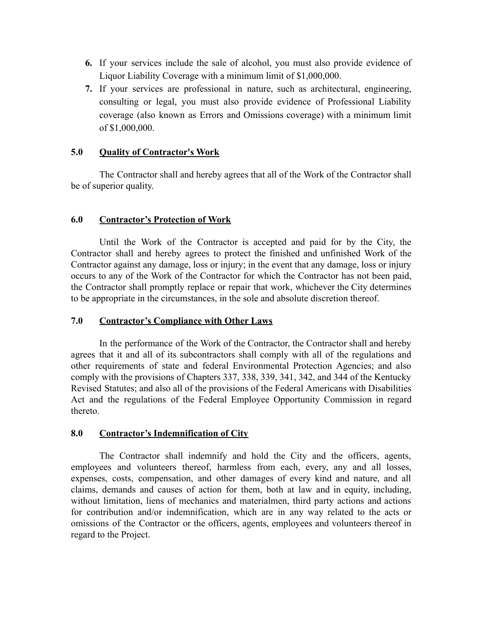- **6.** If your services include the sale of alcohol, you must also provide evidence of Liquor Liability Coverage with a minimum limit of \$1,000,000.
- **7.** If your services are professional in nature, such as architectural, engineering, consulting or legal, you must also provide evidence of Professional Liability coverage (also known as Errors and Omissions coverage) with a minimum limit of \$1,000,000.

## **5.0 Quality of Contractor's Work**

The Contractor shall and hereby agrees that all of the Work of the Contractor shall be of superior quality.

#### **6.0 Contractor's Protection of Work**

Until the Work of the Contractor is accepted and paid for by the City, the Contractor shall and hereby agrees to protect the finished and unfinished Work of the Contractor against any damage, loss or injury; in the event that any damage, loss or injury occurs to any of the Work of the Contractor for which the Contractor has not been paid, the Contractor shall promptly replace or repair that work, whichever the City determines to be appropriate in the circumstances, in the sole and absolute discretion thereof.

## **7.0 Contractor's Compliance with Other Laws**

In the performance of the Work of the Contractor, the Contractor shall and hereby agrees that it and all of its subcontractors shall comply with all of the regulations and other requirements of state and federal Environmental Protection Agencies; and also comply with the provisions of Chapters 337, 338, 339, 341, 342, and 344 of the Kentucky Revised Statutes; and also all of the provisions of the Federal Americans with Disabilities Act and the regulations of the Federal Employee Opportunity Commission in regard thereto.

#### **8.0 Contractor's Indemnification of City**

The Contractor shall indemnify and hold the City and the officers, agents, employees and volunteers thereof, harmless from each, every, any and all losses, expenses, costs, compensation, and other damages of every kind and nature, and all claims, demands and causes of action for them, both at law and in equity, including, without limitation, liens of mechanics and materialmen, third party actions and actions for contribution and/or indemnification, which are in any way related to the acts or omissions of the Contractor or the officers, agents, employees and volunteers thereof in regard to the Project.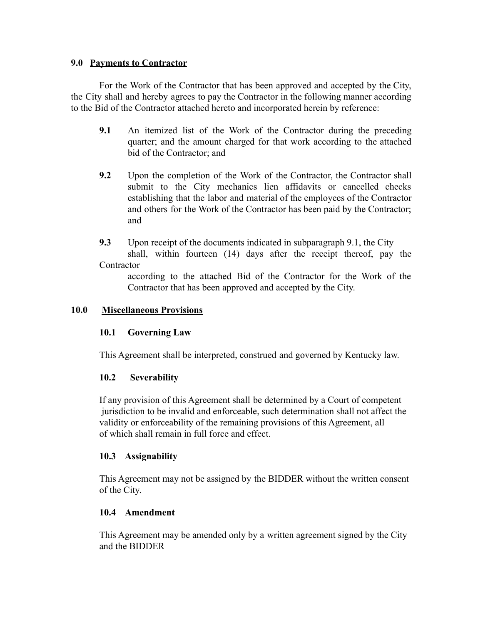#### **9.0 Payments to Contractor**

For the Work of the Contractor that has been approved and accepted by the City, the City shall and hereby agrees to pay the Contractor in the following manner according to the Bid of the Contractor attached hereto and incorporated herein by reference:

- **9.1** An itemized list of the Work of the Contractor during the preceding quarter; and the amount charged for that work according to the attached bid of the Contractor; and
- **9.2** Upon the completion of the Work of the Contractor, the Contractor shall submit to the City mechanics lien affidavits or cancelled checks establishing that the labor and material of the employees of the Contractor and others for the Work of the Contractor has been paid by the Contractor; and
- **9.3** Upon receipt of the documents indicated in subparagraph 9.1, the City shall, within fourteen (14) days after the receipt thereof, pay the **Contractor**

according to the attached Bid of the Contractor for the Work of the Contractor that has been approved and accepted by the City.

#### **10.0 Miscellaneous Provisions**

## **10.1 Governing Law**

This Agreement shall be interpreted, construed and governed by Kentucky law.

## **10.2 Severability**

If any provision of this Agreement shall be determined by a Court of competent jurisdiction to be invalid and enforceable, such determination shall not affect the validity or enforceability of the remaining provisions of this Agreement, all of which shall remain in full force and effect.

## **10.3 Assignability**

This Agreement may not be assigned by the BIDDER without the written consent of the City.

## **10.4 Amendment**

This Agreement may be amended only by a written agreement signed by the City and the BIDDER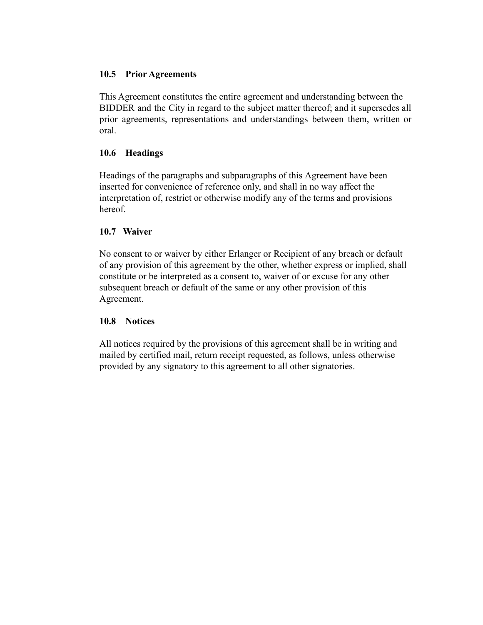#### **10.5 Prior Agreements**

This Agreement constitutes the entire agreement and understanding between the BIDDER and the City in regard to the subject matter thereof; and it supersedes all prior agreements, representations and understandings between them, written or oral.

#### **10.6 Headings**

Headings of the paragraphs and subparagraphs of this Agreement have been inserted for convenience of reference only, and shall in no way affect the interpretation of, restrict or otherwise modify any of the terms and provisions hereof.

#### **10.7 Waiver**

No consent to or waiver by either Erlanger or Recipient of any breach or default of any provision of this agreement by the other, whether express or implied, shall constitute or be interpreted as a consent to, waiver of or excuse for any other subsequent breach or default of the same or any other provision of this Agreement.

## **10.8 Notices**

All notices required by the provisions of this agreement shall be in writing and mailed by certified mail, return receipt requested, as follows, unless otherwise provided by any signatory to this agreement to all other signatories.